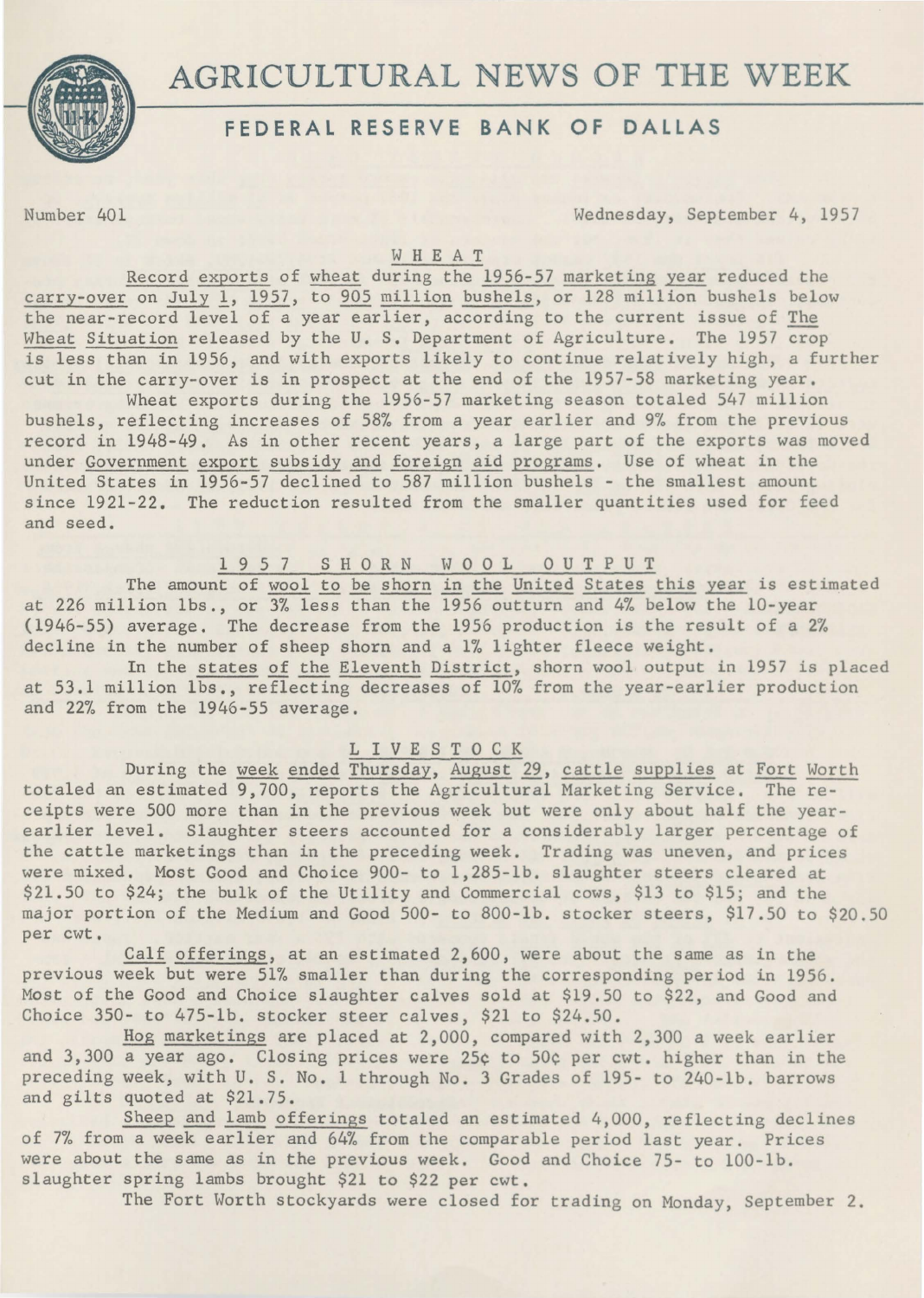

# **AGRICULTURAL** NEWS **OF THE** WEEK

# **FEDERAL RESERVE BANK OF DALLAS**

Number 401 Wednesday, September 4, 1957

# WHEAT

Record exports of wheat during the 1956-57 marketing year reduced the carry-over on July l, 1957, to 905 million bushels, or 128 million bushels below the near-record level of a year earlier, according to the current issue of The Wheat Situation released by the U. S. Department of Agriculture. The 1957 crop is less than in 1956, and with exports likely to continue relatively high, a further cut in the carry-over is in prospect at the end of the 1957-58 marketing year.

Wheat exports during the 1956-57 marketing season totaled 547 million bushels, reflecting increases of 58% from a year earlier and 9% from the previous record in 1948-49. As in other recent years, a large part of the exports was moved under Government export subsidy and foreign aid programs. Use of wheat in the United States in 1956-57 declined to 587 million bushels - the smallest amount since 1921-22. The reduction resulted from the smaller quantities used for feed and seed.

# 1 9 5 7 S H 0 R N W 0 0 L 0 U T P U T

The amount of wool to be shorn in the United States this year is estimated at 226 million lbs., or 3% less than the 1956 outturn and 4% below the 10-year (1946-55) average. The decrease from the 1956 production is the result of a 2% decline in the number of sheep shorn and a 1% lighter fleece weight.

In the states of the Eleventh District, shorn wool output in 1957 is placed at 53.1 million lbs., reflecting decreases of 10% from the year-earlier production and 22% from the 1946-55 average.

# L I V E S T 0 C K

During the week ended Thursday, August *29,* cattle supplies at Fort Worth totaled an estimated *9,700,* reports the Agricultural Marketing Service. The receipts were 500 more than in the previous week but were only about half the yearearlier level. Slaughter steers accounted for a considerably larger percentage of the cattle marketings than in the preceding week. Trading was uneven, and prices were mixed. Most Good and Choice 900- to 1,285-lb. slaughter steers cleared at \$21.50 to \$24; the bulk of the Utility and Commercial cows, \$13 to \$15; and the major portion of the Medium and Good 500- to 800-lb. stocker steers, \$17.50 to \$20.50 per cwt.

Calf offerings, at an estimated 2,600, were about the same as in the previous week but were 51% smaller than during the corresponding period in 1956. Most of the Good and Choice slaughter calves sold at \$19.50 to \$22, and Good and Choice 350- to 475-lb. stocker steer calves, \$21 to \$24.50.

Hog marketings are placed at 2,000, compared with 2,300 a week earlier and 3,300 a year ago. Closing prices were 25¢ to 50¢ per cwt. higher than in the preceding week, with U. S. No. 1 through No. 3 Grades of 195- to 240-lb. barrows and gilts quoted at \$21.75.

Sheep and lamb offerings totaled an estimated 4,000, reflecting declines of 7% from a week earlier and 64% from the comparable period last year. Prices were about the same as in the previous week. Good and Choice 75- to 100-lb. slaughter spring lambs brought \$21 to \$22 per cwt.

The Fort Worth stockyards were closed for trading on Monday, September 2.